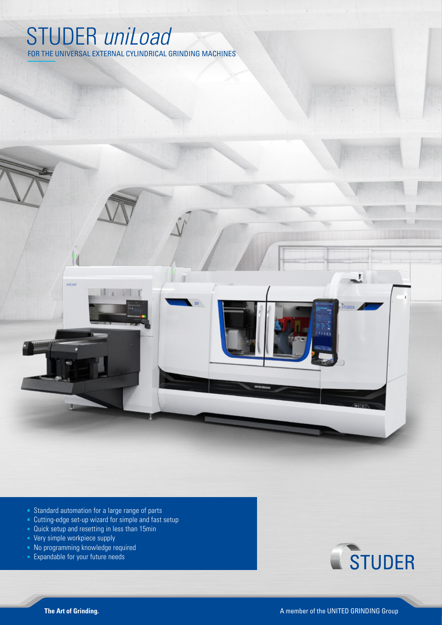## STUDER *uniLoad*

FOR THE UNIVERSAL EXTERNAL CYLINDRICAL GRINDING MACHINES



- Cutting-edge set-up wizard for simple and fast setup
- Quick setup and resetting in less than 15min
- Very simple workpiece supply
- No programming knowledge required
- **Expandable for your future needs**